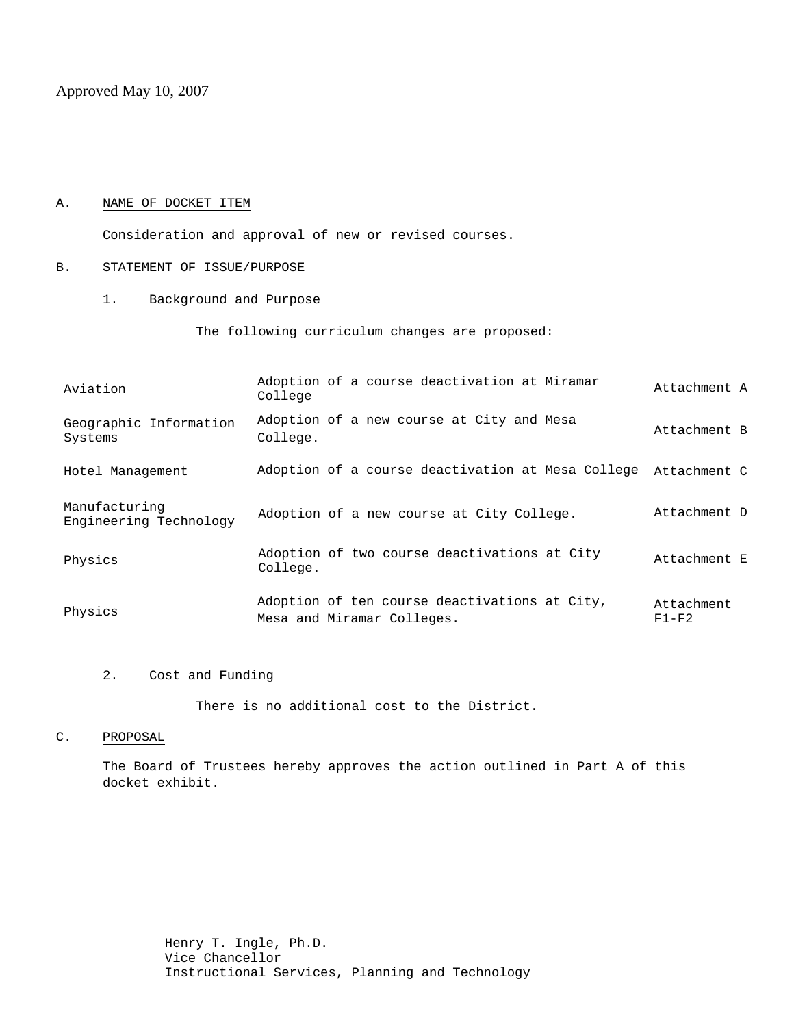Approved May 10, 2007

### A. NAME OF DOCKET ITEM

Consideration and approval of new or revised courses.

### B. STATEMENT OF ISSUE/PURPOSE

1. Background and Purpose

The following curriculum changes are proposed:

| Aviation                                | Adoption of a course deactivation at Miramar<br>College                     | Attachment A          |
|-----------------------------------------|-----------------------------------------------------------------------------|-----------------------|
| Geographic Information<br>Systems       | Adoption of a new course at City and Mesa<br>College.                       | Attachment B          |
| Hotel Management                        | Adoption of a course deactivation at Mesa College                           | Attachment C          |
| Manufacturing<br>Engineering Technology | Adoption of a new course at City College.                                   | Attachment D          |
| Physics                                 | Adoption of two course deactivations at City<br>College.                    | Attachment E          |
| Physics                                 | Adoption of ten course deactivations at City,<br>Mesa and Miramar Colleges. | Attachment<br>$F1-F2$ |

2. Cost and Funding

There is no additional cost to the District.

### C. PROPOSAL

The Board of Trustees hereby approves the action outlined in Part A of this docket exhibit.

> Henry T. Ingle, Ph.D. Vice Chancellor Instructional Services, Planning and Technology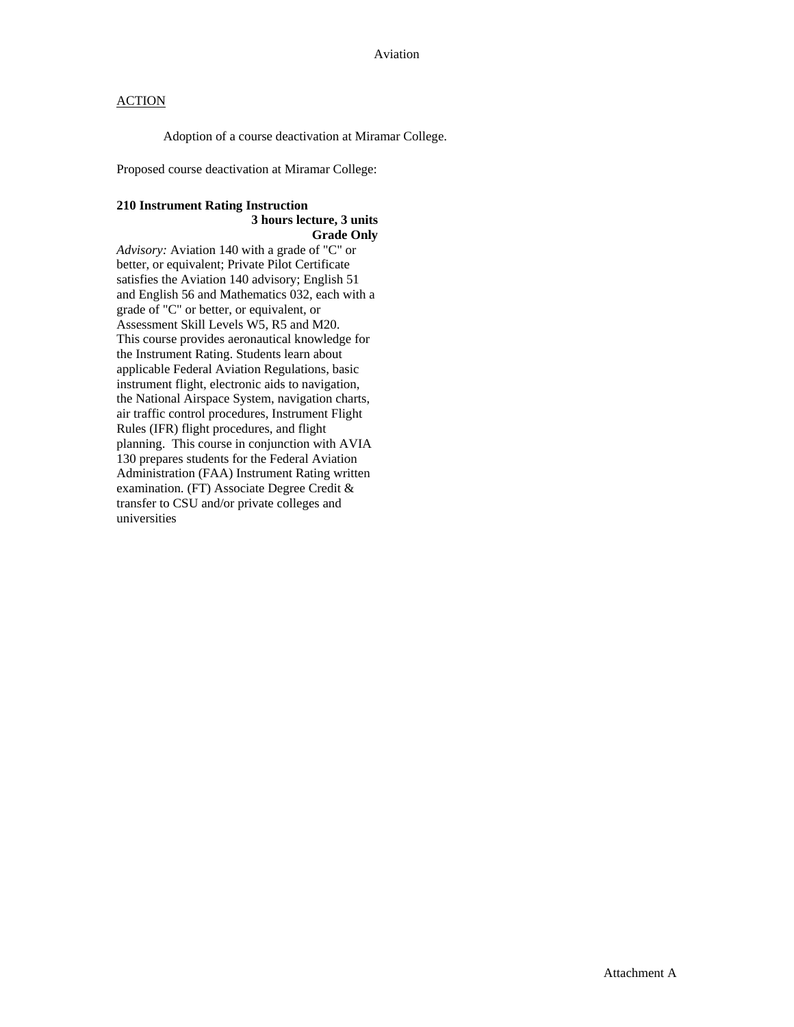Adoption of a course deactivation at Miramar College.

Proposed course deactivation at Miramar College:

## **210 Instrument Rating Instruction 3 hours lecture, 3 units**

## **Grade Only**

*Advisory:* Aviation 140 with a grade of "C" or better, or equivalent; Private Pilot Certificate satisfies the Aviation 140 advisory; English 51 and English 56 and Mathematics 032, each with a grade of "C" or better, or equivalent, or Assessment Skill Levels W5, R5 and M20. This course provides aeronautical knowledge for the Instrument Rating. Students learn about applicable Federal Aviation Regulations, basic instrument flight, electronic aids to navigation, the National Airspace System, navigation charts, air traffic control procedures, Instrument Flight Rules (IFR) flight procedures, and flight planning. This course in conjunction with AVIA 130 prepares students for the Federal Aviation Administration (FAA) Instrument Rating written examination. (FT) Associate Degree Credit & transfer to CSU and/or private colleges and universities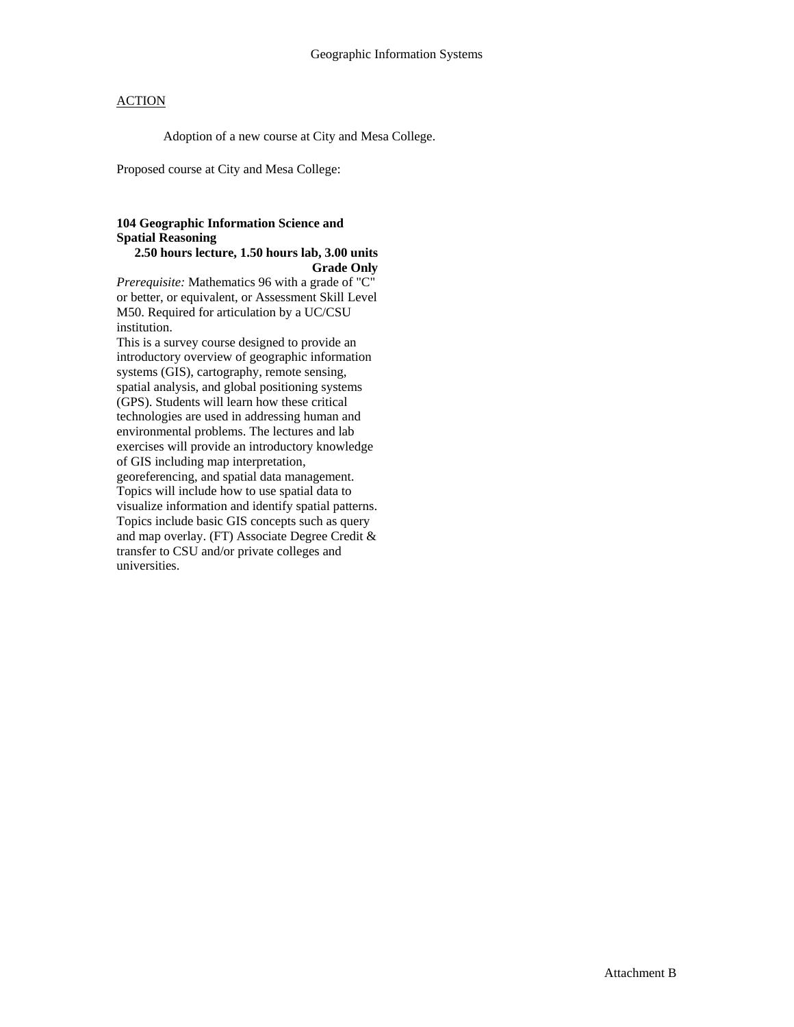Adoption of a new course at City and Mesa College.

Proposed course at City and Mesa College:

# **104 Geographic Information Science and Spatial Reasoning**

## **2.50 hours lecture, 1.50 hours lab, 3.00 units Grade Only**

*Prerequisite:* Mathematics 96 with a grade of "C" or better, or equivalent, or Assessment Skill Level M50. Required for articulation by a UC/CSU institution.

This is a survey course designed to provide an introductory overview of geographic information systems (GIS), cartography, remote sensing, spatial analysis, and global positioning systems (GPS). Students will learn how these critical technologies are used in addressing human and environmental problems. The lectures and lab exercises will provide an introductory knowledge of GIS including map interpretation, georeferencing, and spatial data management. Topics will include how to use spatial data to visualize information and identify spatial patterns. Topics include basic GIS concepts such as query and map overlay. (FT) Associate Degree Credit & transfer to CSU and/or private colleges and universities.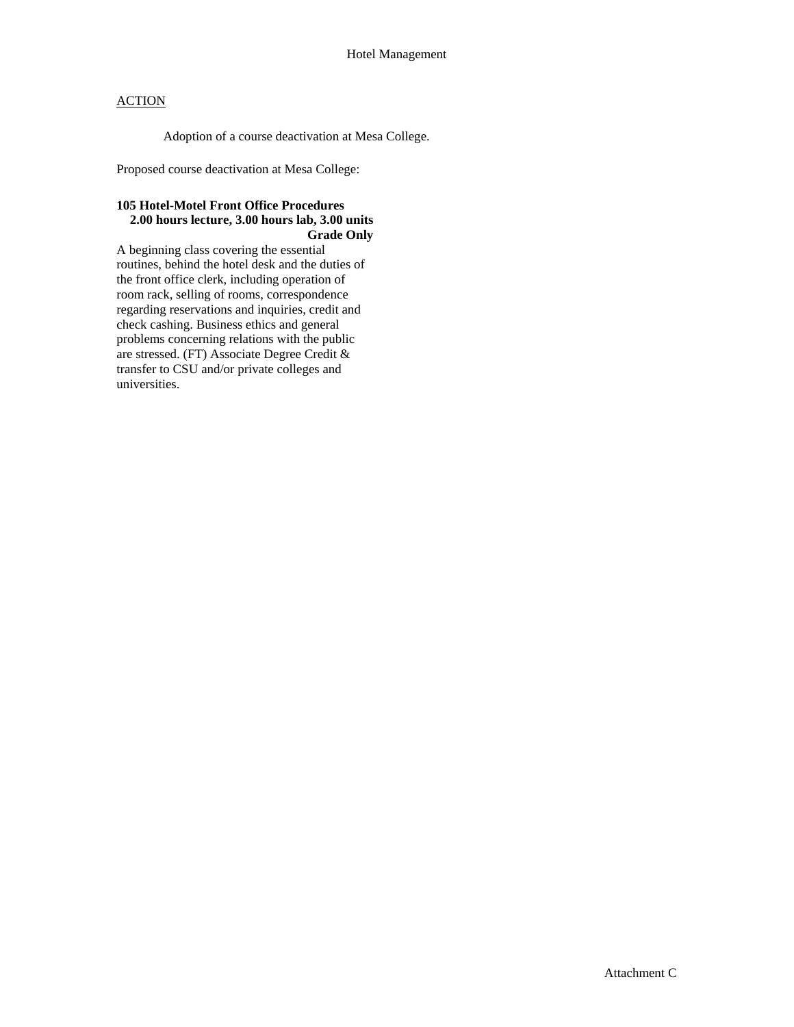Adoption of a course deactivation at Mesa College.

Proposed course deactivation at Mesa College:

## **105 Hotel-Motel Front Office Procedures 2.00 hours lecture, 3.00 hours lab, 3.00 units Grade Only**

A beginning class covering the essential routines, behind the hotel desk and the duties of the front office clerk, including operation of room rack, selling of rooms, correspondence regarding reservations and inquiries, credit and check cashing. Business ethics and general problems concerning relations with the public are stressed. (FT) Associate Degree Credit & transfer to CSU and/or private colleges and universities.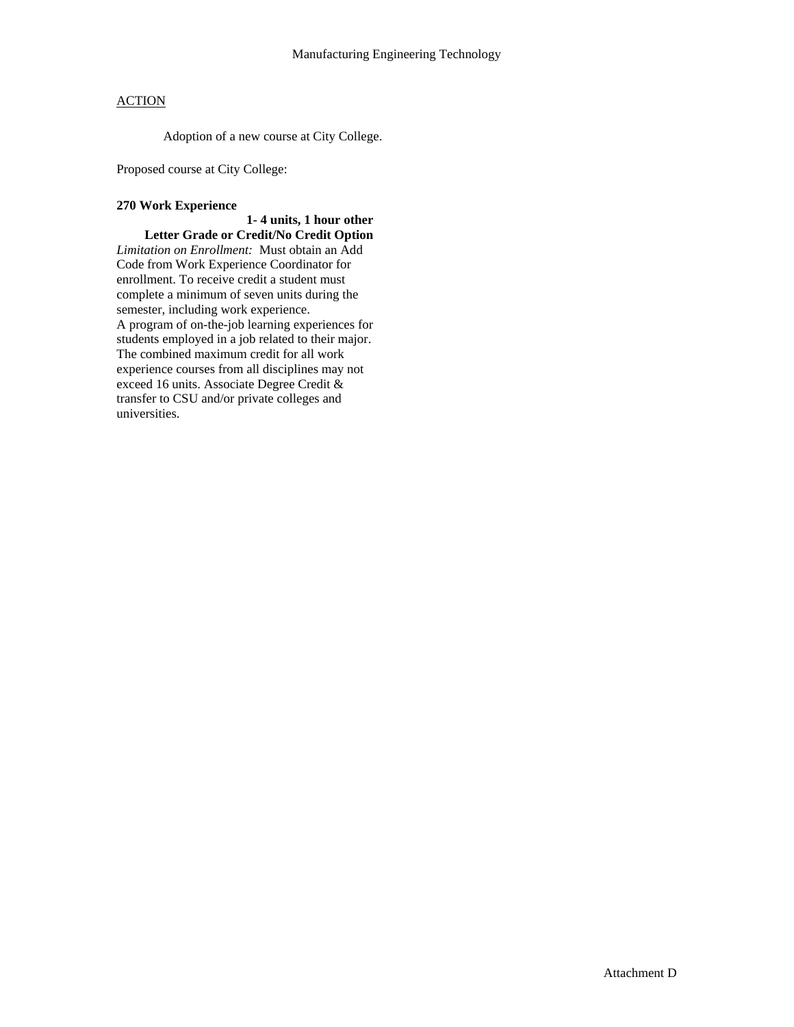Adoption of a new course at City College.

Proposed course at City College:

### **270 Work Experience**

### **1- 4 units, 1 hour other Letter Grade or Credit/No Credit Option**

*Limitation on Enrollment:* Must obtain an Add Code from Work Experience Coordinator for enrollment. To receive credit a student must complete a minimum of seven units during the semester, including work experience. A program of on-the-job learning experiences for students employed in a job related to their major. The combined maximum credit for all work experience courses from all disciplines may not exceed 16 units. Associate Degree Credit & transfer to CSU and/or private colleges and universities.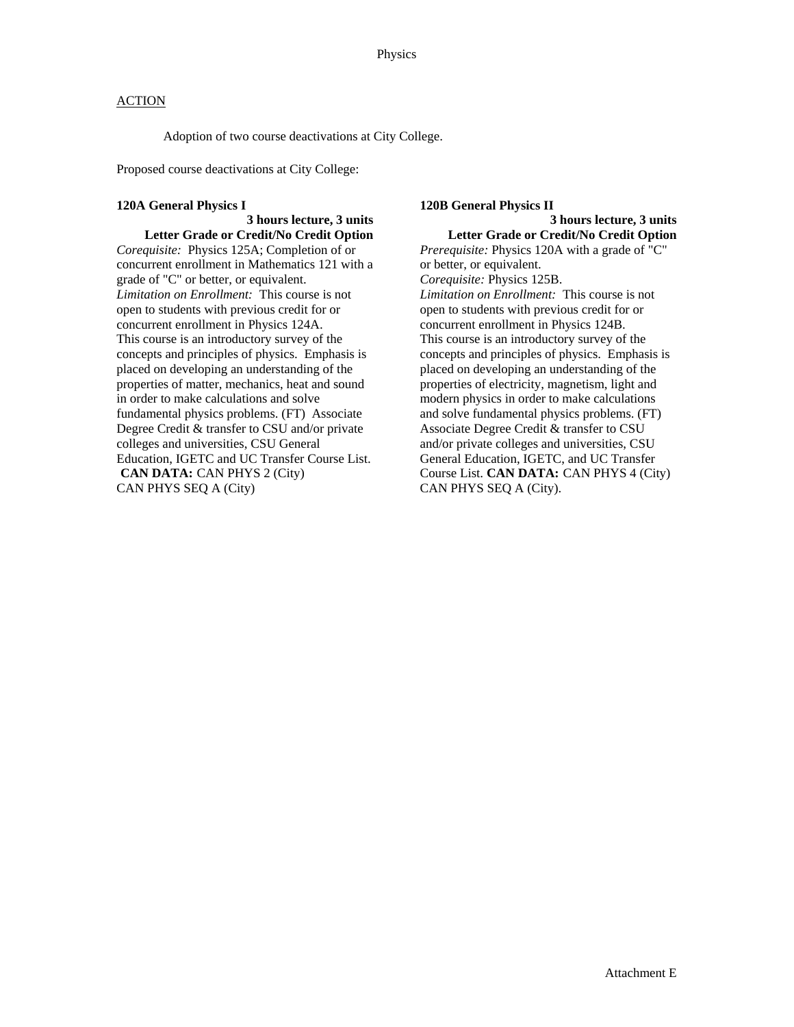Adoption of two course deactivations at City College.

Proposed course deactivations at City College:

### **120A General Physics I**

## **3 hours lecture, 3 units Letter Grade or Credit/No Credit Option**

*Corequisite:* Physics 125A; Completion of or concurrent enrollment in Mathematics 121 with a grade of "C" or better, or equivalent. *Limitation on Enrollment:* This course is not open to students with previous credit for or concurrent enrollment in Physics 124A. This course is an introductory survey of the concepts and principles of physics. Emphasis is placed on developing an understanding of the properties of matter, mechanics, heat and sound in order to make calculations and solve fundamental physics problems. (FT) Associate Degree Credit & transfer to CSU and/or private colleges and universities, CSU General Education, IGETC and UC Transfer Course List. **CAN DATA:** CAN PHYS 2 (City) CAN PHYS SEQ A (City)

# **120B General Physics II**

# **3 hours lecture, 3 units**

**Letter Grade or Credit/No Credit Option**  *Prerequisite:* Physics 120A with a grade of "C" or better, or equivalent. *Corequisite:* Physics 125B. *Limitation on Enrollment:* This course is not open to students with previous credit for or concurrent enrollment in Physics 124B. This course is an introductory survey of the concepts and principles of physics. Emphasis is placed on developing an understanding of the properties of electricity, magnetism, light and modern physics in order to make calculations and solve fundamental physics problems. (FT) Associate Degree Credit & transfer to CSU and/or private colleges and universities, CSU General Education, IGETC, and UC Transfer Course List. **CAN DATA:** CAN PHYS 4 (City) CAN PHYS SEQ A (City).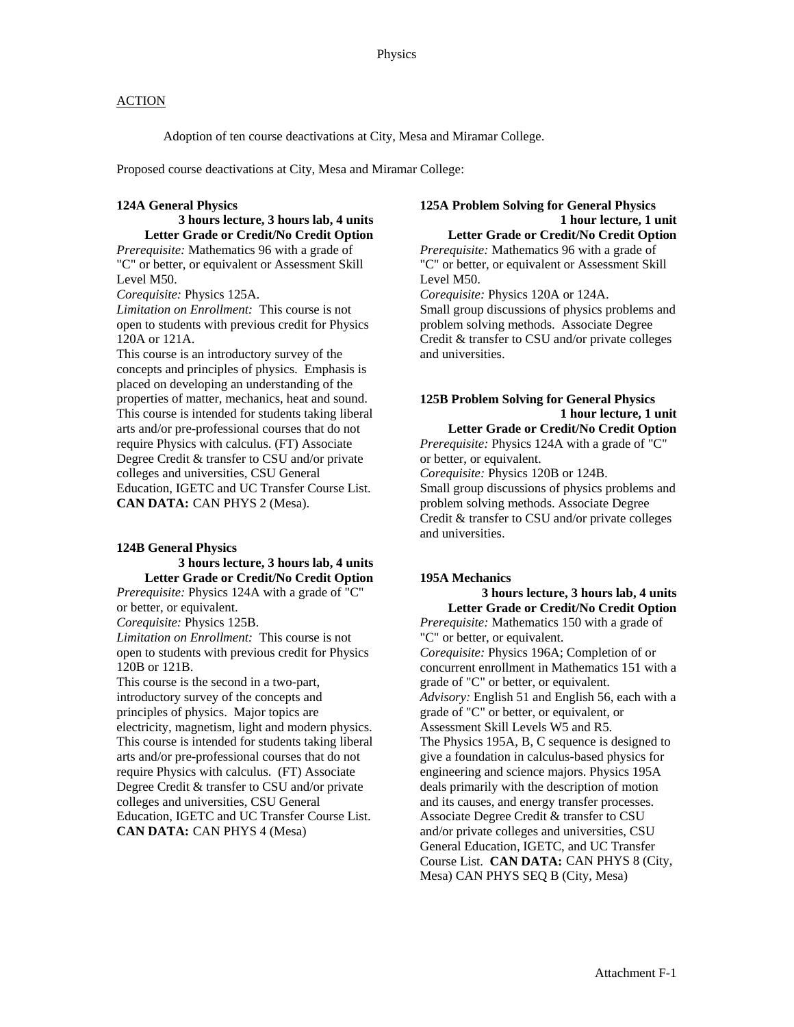Adoption of ten course deactivations at City, Mesa and Miramar College.

Proposed course deactivations at City, Mesa and Miramar College:

#### **124A General Physics**

### **3 hours lecture, 3 hours lab, 4 units Letter Grade or Credit/No Credit Option**

*Prerequisite:* Mathematics 96 with a grade of "C" or better, or equivalent or Assessment Skill Level M50.

*Corequisite:* Physics 125A.

*Limitation on Enrollment:* This course is not open to students with previous credit for Physics 120A or 121A.

This course is an introductory survey of the concepts and principles of physics. Emphasis is placed on developing an understanding of the properties of matter, mechanics, heat and sound. This course is intended for students taking liberal arts and/or pre-professional courses that do not require Physics with calculus. (FT) Associate Degree Credit & transfer to CSU and/or private colleges and universities, CSU General Education, IGETC and UC Transfer Course List. **CAN DATA:** CAN PHYS 2 (Mesa).

### **124B General Physics**

## **3 hours lecture, 3 hours lab, 4 units Letter Grade or Credit/No Credit Option**

*Prerequisite:* Physics 124A with a grade of "C" or better, or equivalent.

*Corequisite:* Physics 125B.

*Limitation on Enrollment:* This course is not open to students with previous credit for Physics 120B or 121B.

This course is the second in a two-part, introductory survey of the concepts and principles of physics. Major topics are electricity, magnetism, light and modern physics. This course is intended for students taking liberal arts and/or pre-professional courses that do not require Physics with calculus. (FT) Associate Degree Credit & transfer to CSU and/or private colleges and universities, CSU General Education, IGETC and UC Transfer Course List. **CAN DATA:** CAN PHYS 4 (Mesa)

### **125A Problem Solving for General Physics 1 hour lecture, 1 unit Letter Grade or Credit/No Credit Option**

*Prerequisite:* Mathematics 96 with a grade of "C" or better, or equivalent or Assessment Skill Level M50.

*Corequisite:* Physics 120A or 124A. Small group discussions of physics problems and problem solving methods. Associate Degree Credit & transfer to CSU and/or private colleges and universities.

## **125B Problem Solving for General Physics 1 hour lecture, 1 unit**

**Letter Grade or Credit/No Credit Option**  *Prerequisite:* Physics 124A with a grade of "C" or better, or equivalent. *Corequisite:* Physics 120B or 124B. Small group discussions of physics problems and problem solving methods. Associate Degree Credit & transfer to CSU and/or private colleges and universities.

### **195A Mechanics**

 **3 hours lecture, 3 hours lab, 4 units Letter Grade or Credit/No Credit Option**  *Prerequisite:* Mathematics 150 with a grade of "C" or better, or equivalent. *Corequisite:* Physics 196A; Completion of or concurrent enrollment in Mathematics 151 with a grade of "C" or better, or equivalent. *Advisory:* English 51 and English 56, each with a grade of "C" or better, or equivalent, or Assessment Skill Levels W5 and R5. The Physics 195A, B, C sequence is designed to give a foundation in calculus-based physics for engineering and science majors. Physics 195A deals primarily with the description of motion and its causes, and energy transfer processes. Associate Degree Credit & transfer to CSU and/or private colleges and universities, CSU General Education, IGETC, and UC Transfer Course List. **CAN DATA:** CAN PHYS 8 (City, Mesa) CAN PHYS SEQ B (City, Mesa)